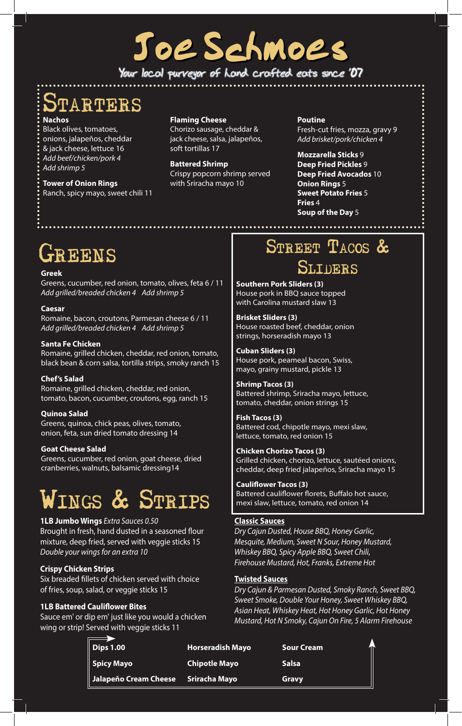# Joe Schmoe's

**Your local purveyor of hand crafted eats since '07**

### **Nachos PARTERS**

Black olives, tomatoes, onions, jalapeños, cheddar & jack cheese, lettuce 16 *Add beef/chicken/pork 4 Add shrimp 5*

**Tower of Onion Rings** Ranch, spicy mayo, sweet chili 11 **Flaming Cheese**

Chorizo sausage, cheddar & jack cheese, salsa, jalapeños, soft tortillas 17

**Battered Shrimp** Crispy popcorn shrimp served with Sriracha mayo 10

**Poutine** Fresh-cut fries, mozza, gravy 9 *Add brisket/pork/chicken 4*

**Mozzarella Sticks** 9 **Deep Fried Pickles** 9 **Deep Fried Avocados** 10 **Onion Rings** 5 **Sweet Potato Fries** 5 **Fries** 4 **Soup of the Day** 5

## SREENS

#### **Greek**

Greens, cucumber, red onion, tomato, olives, feta 6 / 11 *Add grilled/breaded chicken 4 Add shrimp 5*

#### **Caesar**

Romaine, bacon, croutons, Parmesan cheese 6 / 11 *Add grilled/breaded chicken 4 Add shrimp 5*

#### **Santa Fe Chicken**

Romaine, grilled chicken, cheddar, red onion, tomato, black bean & corn salsa, tortilla strips, smoky ranch 15

#### **Chef's Salad**

Romaine, grilled chicken, cheddar, red onion, tomato, bacon, cucumber, croutons, egg, ranch 15

#### **Quinoa Salad**

Greens, quinoa, chick peas, olives, tomato, onion, feta, sun dried tomato dressing 14

#### **Goat Cheese Salad**

Greens, cucumber, red onion, goat cheese, dried cranberries, walnuts, balsamic dressing14

## Wings & Strips

**1LB Jumbo Wings** *Extra Sauces 0.50* Brought in fresh, hand dusted in a seasoned flour mixture, deep fried, served with veggie sticks 15 *Double your wings for an extra 10*

#### **Crispy Chicken Strips**

Six breaded fillets of chicken served with choice of fries, soup, salad, or veggie sticks 15

#### **1LB Battered Cauliflower Bites**

Sauce em' or dip em' just like you would a chicken wing or strip! Served with veggie sticks 11

### STREET TACOS & **SLIDERS**

**Southern Pork Sliders (3)** House pork in BBQ sauce topped with Carolina mustard slaw 13

**Brisket Sliders (3)** House roasted beef, cheddar, onion strings, horseradish mayo 13

**Cuban Sliders (3)** House pork, peameal bacon, Swiss, mayo, grainy mustard, pickle 13

**Shrimp Tacos (3)** Battered shrimp, Sriracha mayo, lettuce, tomato, cheddar, onion strings 15

**Fish Tacos (3)** Battered cod, chipotle mayo, mexi slaw, lettuce, tomato, red onion 15

**Chicken Chorizo Tacos (3)** Grilled chicken, chorizo, lettuce, sautéed onions, cheddar, deep fried jalapeños, Sriracha mayo 15

#### **Cauliflower Tacos (3)** Battered cauliflower florets, Buffalo hot sauce, mexi slaw, lettuce, tomato, red onion 14

#### **Classic Sauces**

*Dry Cajun Dusted, House BBQ, Honey Garlic, Mesquite, Medium, Sweet N Sour, Honey Mustard, Whiskey BBQ, Spicy Apple BBQ, Sweet Chili, Firehouse Mustard, Hot, Franks, Extreme Hot*

#### **Twisted Sauces**

*Dry Cajun & Parmesan Dusted, Smoky Ranch, Sweet BBQ, Sweet Smoke, Double Your Honey, Sweet Whiskey BBQ, Asian Heat, Whiskey Heat, Hot Honey Garlic, Hot Honey Mustard, Hot N Smoky, Cajun On Fire, 5 Alarm Firehouse*

| $\parallel$ Dips 1.00                  | <b>Horseradish Mayo</b> | Sour Cream   |
|----------------------------------------|-------------------------|--------------|
| $\parallel$ Spicy Mayo                 | <b>Chipotle Mayo</b>    | <b>Salsa</b> |
| Jalapeño Cream Cheese    Sriracha Mayo |                         | Gravy        |